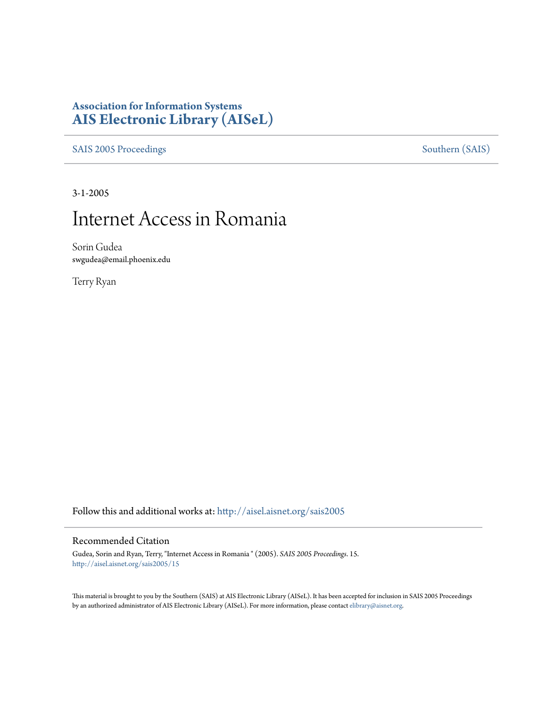# **Association for Information Systems [AIS Electronic Library \(AISeL\)](http://aisel.aisnet.org?utm_source=aisel.aisnet.org%2Fsais2005%2F15&utm_medium=PDF&utm_campaign=PDFCoverPages)**

[SAIS 2005 Proceedings](http://aisel.aisnet.org/sais2005?utm_source=aisel.aisnet.org%2Fsais2005%2F15&utm_medium=PDF&utm_campaign=PDFCoverPages) [Southern \(SAIS\)](http://aisel.aisnet.org/sais?utm_source=aisel.aisnet.org%2Fsais2005%2F15&utm_medium=PDF&utm_campaign=PDFCoverPages)

3-1-2005

# Internet Access in Romania

Sorin Gudea swgudea@email.phoenix.edu

Terry Ryan

Follow this and additional works at: [http://aisel.aisnet.org/sais2005](http://aisel.aisnet.org/sais2005?utm_source=aisel.aisnet.org%2Fsais2005%2F15&utm_medium=PDF&utm_campaign=PDFCoverPages)

#### Recommended Citation

Gudea, Sorin and Ryan, Terry, "Internet Access in Romania " (2005). *SAIS 2005 Proceedings*. 15. [http://aisel.aisnet.org/sais2005/15](http://aisel.aisnet.org/sais2005/15?utm_source=aisel.aisnet.org%2Fsais2005%2F15&utm_medium=PDF&utm_campaign=PDFCoverPages)

This material is brought to you by the Southern (SAIS) at AIS Electronic Library (AISeL). It has been accepted for inclusion in SAIS 2005 Proceedings by an authorized administrator of AIS Electronic Library (AISeL). For more information, please contact [elibrary@aisnet.org](mailto:elibrary@aisnet.org%3E).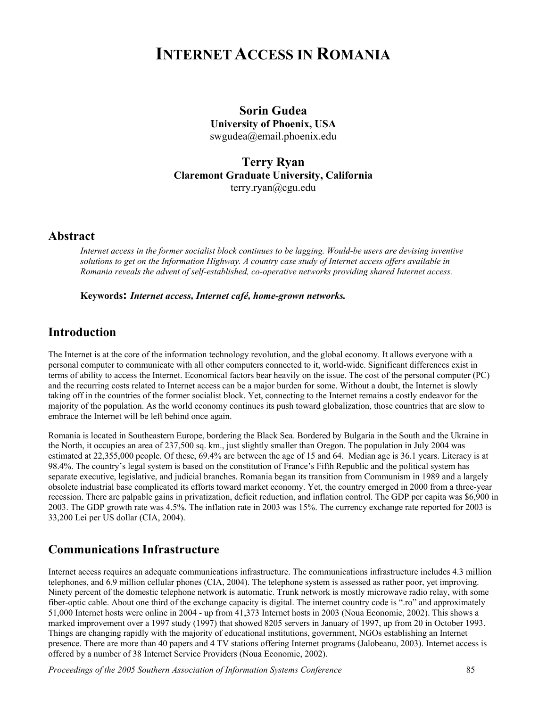# **INTERNET ACCESS IN ROMANIA**

**Sorin Gudea University of Phoenix, USA**  swgudea@email.phoenix.edu

**Terry Ryan Claremont Graduate University, California**  terry.ryan@cgu.edu

#### **Abstract**

*Internet access in the former socialist block continues to be lagging. Would-be users are devising inventive solutions to get on the Information Highway. A country case study of Internet access offers available in Romania reveals the advent of self-established, co-operative networks providing shared Internet access.* 

**Keywords:** *Internet access, Internet café, home-grown networks.* 

## **Introduction**

The Internet is at the core of the information technology revolution, and the global economy. It allows everyone with a personal computer to communicate with all other computers connected to it, world-wide. Significant differences exist in terms of ability to access the Internet. Economical factors bear heavily on the issue. The cost of the personal computer (PC) and the recurring costs related to Internet access can be a major burden for some. Without a doubt, the Internet is slowly taking off in the countries of the former socialist block. Yet, connecting to the Internet remains a costly endeavor for the majority of the population. As the world economy continues its push toward globalization, those countries that are slow to embrace the Internet will be left behind once again.

Romania is located in Southeastern Europe, bordering the Black Sea. Bordered by Bulgaria in the South and the Ukraine in the North, it occupies an area of 237,500 sq. km., just slightly smaller than Oregon. The population in July 2004 was estimated at 22,355,000 people. Of these, 69.4% are between the age of 15 and 64. Median age is 36.1 years. Literacy is at 98.4%. The country's legal system is based on the constitution of France's Fifth Republic and the political system has separate executive, legislative, and judicial branches. Romania began its transition from Communism in 1989 and a largely obsolete industrial base complicated its efforts toward market economy. Yet, the country emerged in 2000 from a three-year recession. There are palpable gains in privatization, deficit reduction, and inflation control. The GDP per capita was \$6,900 in 2003. The GDP growth rate was 4.5%. The inflation rate in 2003 was 15%. The currency exchange rate reported for 2003 is 33,200 Lei per US dollar (CIA, 2004).

### **Communications Infrastructure**

Internet access requires an adequate communications infrastructure. The communications infrastructure includes 4.3 million telephones, and 6.9 million cellular phones (CIA, 2004). The telephone system is assessed as rather poor, yet improving. Ninety percent of the domestic telephone network is automatic. Trunk network is mostly microwave radio relay, with some fiber-optic cable. About one third of the exchange capacity is digital. The internet country code is ".ro" and approximately 51,000 Internet hosts were online in 2004 - up from 41,373 Internet hosts in 2003 (Noua Economie, 2002). This shows a marked improvement over a 1997 study (1997) that showed 8205 servers in January of 1997, up from 20 in October 1993. Things are changing rapidly with the majority of educational institutions, government, NGOs establishing an Internet presence. There are more than 40 papers and 4 TV stations offering Internet programs (Jalobeanu, 2003). Internet access is offered by a number of 38 Internet Service Providers (Noua Economie, 2002).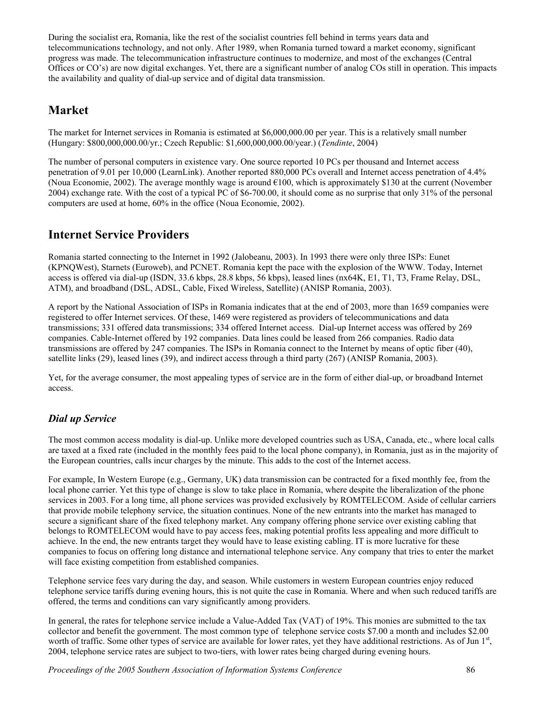During the socialist era, Romania, like the rest of the socialist countries fell behind in terms years data and telecommunications technology, and not only. After 1989, when Romania turned toward a market economy, significant progress was made. The telecommunication infrastructure continues to modernize, and most of the exchanges (Central Offices or CO's) are now digital exchanges. Yet, there are a significant number of analog COs still in operation. This impacts the availability and quality of dial-up service and of digital data transmission.

## **Market**

The market for Internet services in Romania is estimated at \$6,000,000.00 per year. This is a relatively small number (Hungary: \$800,000,000.00/yr.; Czech Republic: \$1,600,000,000.00/year.) (*Tendinte*, 2004)

The number of personal computers in existence vary. One source reported 10 PCs per thousand and Internet access penetration of 9.01 per 10,000 (LearnLink). Another reported 880,000 PCs overall and Internet access penetration of 4.4% (Noua Economie, 2002). The average monthly wage is around  $\epsilon$ 100, which is approximately \$130 at the current (November 2004) exchange rate. With the cost of a typical PC of \$6-700.00, it should come as no surprise that only 31% of the personal computers are used at home, 60% in the office (Noua Economie, 2002).

# **Internet Service Providers**

Romania started connecting to the Internet in 1992 (Jalobeanu, 2003). In 1993 there were only three ISPs: Eunet (KPNQWest), Starnets (Euroweb), and PCNET. Romania kept the pace with the explosion of the WWW. Today, Internet access is offered via dial-up (ISDN, 33.6 kbps, 28.8 kbps, 56 kbps), leased lines (nx64K, E1, T1, T3, Frame Relay, DSL, ATM), and broadband (DSL, ADSL, Cable, Fixed Wireless, Satellite) (ANISP Romania, 2003).

A report by the National Association of ISPs in Romania indicates that at the end of 2003, more than 1659 companies were registered to offer Internet services. Of these, 1469 were registered as providers of telecommunications and data transmissions; 331 offered data transmissions; 334 offered Internet access. Dial-up Internet access was offered by 269 companies. Cable-Internet offered by 192 companies. Data lines could be leased from 266 companies. Radio data transmissions are offered by 247 companies. The ISPs in Romania connect to the Internet by means of optic fiber (40), satellite links (29), leased lines (39), and indirect access through a third party (267) (ANISP Romania, 2003).

Yet, for the average consumer, the most appealing types of service are in the form of either dial-up, or broadband Internet access.

## *Dial up Service*

The most common access modality is dial-up. Unlike more developed countries such as USA, Canada, etc., where local calls are taxed at a fixed rate (included in the monthly fees paid to the local phone company), in Romania, just as in the majority of the European countries, calls incur charges by the minute. This adds to the cost of the Internet access.

For example, In Western Europe (e.g., Germany, UK) data transmission can be contracted for a fixed monthly fee, from the local phone carrier. Yet this type of change is slow to take place in Romania, where despite the liberalization of the phone services in 2003. For a long time, all phone services was provided exclusively by ROMTELECOM. Aside of cellular carriers that provide mobile telephony service, the situation continues. None of the new entrants into the market has managed to secure a significant share of the fixed telephony market. Any company offering phone service over existing cabling that belongs to ROMTELECOM would have to pay access fees, making potential profits less appealing and more difficult to achieve. In the end, the new entrants target they would have to lease existing cabling. IT is more lucrative for these companies to focus on offering long distance and international telephone service. Any company that tries to enter the market will face existing competition from established companies.

Telephone service fees vary during the day, and season. While customers in western European countries enjoy reduced telephone service tariffs during evening hours, this is not quite the case in Romania. Where and when such reduced tariffs are offered, the terms and conditions can vary significantly among providers.

In general, the rates for telephone service include a Value-Added Tax (VAT) of 19%. This monies are submitted to the tax collector and benefit the government. The most common type of telephone service costs \$7.00 a month and includes \$2.00 worth of traffic. Some other types of service are available for lower rates, yet they have additional restrictions. As of Jun 1<sup>st</sup>, 2004, telephone service rates are subject to two-tiers, with lower rates being charged during evening hours.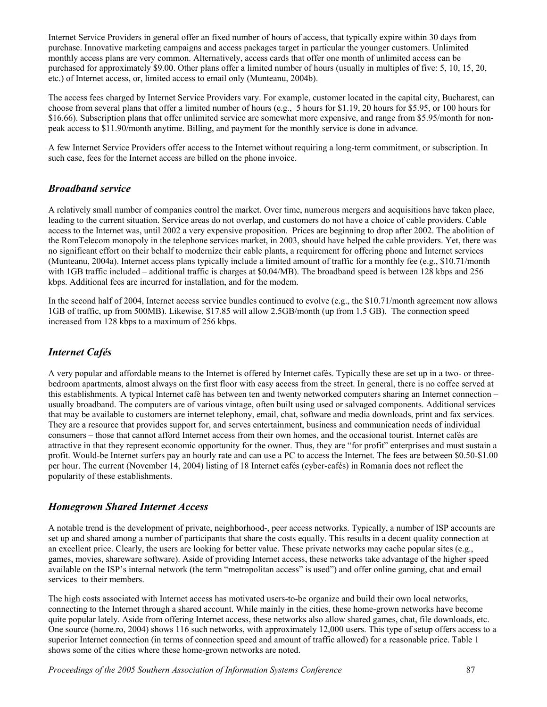Internet Service Providers in general offer an fixed number of hours of access, that typically expire within 30 days from purchase. Innovative marketing campaigns and access packages target in particular the younger customers. Unlimited monthly access plans are very common. Alternatively, access cards that offer one month of unlimited access can be purchased for approximately \$9.00. Other plans offer a limited number of hours (usually in multiples of five: 5, 10, 15, 20, etc.) of Internet access, or, limited access to email only (Munteanu, 2004b).

The access fees charged by Internet Service Providers vary. For example, customer located in the capital city, Bucharest, can choose from several plans that offer a limited number of hours (e.g., 5 hours for \$1.19, 20 hours for \$5.95, or 100 hours for \$16.66). Subscription plans that offer unlimited service are somewhat more expensive, and range from \$5.95/month for nonpeak access to \$11.90/month anytime. Billing, and payment for the monthly service is done in advance.

A few Internet Service Providers offer access to the Internet without requiring a long-term commitment, or subscription. In such case, fees for the Internet access are billed on the phone invoice.

#### *Broadband service*

A relatively small number of companies control the market. Over time, numerous mergers and acquisitions have taken place, leading to the current situation. Service areas do not overlap, and customers do not have a choice of cable providers. Cable access to the Internet was, until 2002 a very expensive proposition. Prices are beginning to drop after 2002. The abolition of the RomTelecom monopoly in the telephone services market, in 2003, should have helped the cable providers. Yet, there was no significant effort on their behalf to modernize their cable plants, a requirement for offering phone and Internet services (Munteanu, 2004a). Internet access plans typically include a limited amount of traffic for a monthly fee (e.g., \$10.71/month with 1GB traffic included – additional traffic is charges at \$0.04/MB). The broadband speed is between 128 kbps and 256 kbps. Additional fees are incurred for installation, and for the modem.

In the second half of 2004, Internet access service bundles continued to evolve (e.g., the \$10.71/month agreement now allows 1GB of traffic, up from 500MB). Likewise, \$17.85 will allow 2.5GB/month (up from 1.5 GB). The connection speed increased from 128 kbps to a maximum of 256 kbps.

### *Internet Cafés*

A very popular and affordable means to the Internet is offered by Internet cafés. Typically these are set up in a two- or threebedroom apartments, almost always on the first floor with easy access from the street. In general, there is no coffee served at this establishments. A typical Internet café has between ten and twenty networked computers sharing an Internet connection – usually broadband. The computers are of various vintage, often built using used or salvaged components. Additional services that may be available to customers are internet telephony, email, chat, software and media downloads, print and fax services. They are a resource that provides support for, and serves entertainment, business and communication needs of individual consumers – those that cannot afford Internet access from their own homes, and the occasional tourist. Internet cafés are attractive in that they represent economic opportunity for the owner. Thus, they are "for profit" enterprises and must sustain a profit. Would-be Internet surfers pay an hourly rate and can use a PC to access the Internet. The fees are between \$0.50-\$1.00 per hour. The current (November 14, 2004) listing of 18 Internet cafés (cyber-cafés) in Romania does not reflect the popularity of these establishments.

#### *Homegrown Shared Internet Access*

A notable trend is the development of private, neighborhood-, peer access networks. Typically, a number of ISP accounts are set up and shared among a number of participants that share the costs equally. This results in a decent quality connection at an excellent price. Clearly, the users are looking for better value. These private networks may cache popular sites (e.g., games, movies, shareware software). Aside of providing Internet access, these networks take advantage of the higher speed available on the ISP's internal network (the term "metropolitan access" is used") and offer online gaming, chat and email services to their members.

The high costs associated with Internet access has motivated users-to-be organize and build their own local networks, connecting to the Internet through a shared account. While mainly in the cities, these home-grown networks have become quite popular lately. Aside from offering Internet access, these networks also allow shared games, chat, file downloads, etc. One source (home.ro, 2004) shows 116 such networks, with approximately 12,000 users. This type of setup offers access to a superior Internet connection (in terms of connection speed and amount of traffic allowed) for a reasonable price. Table 1 shows some of the cities where these home-grown networks are noted.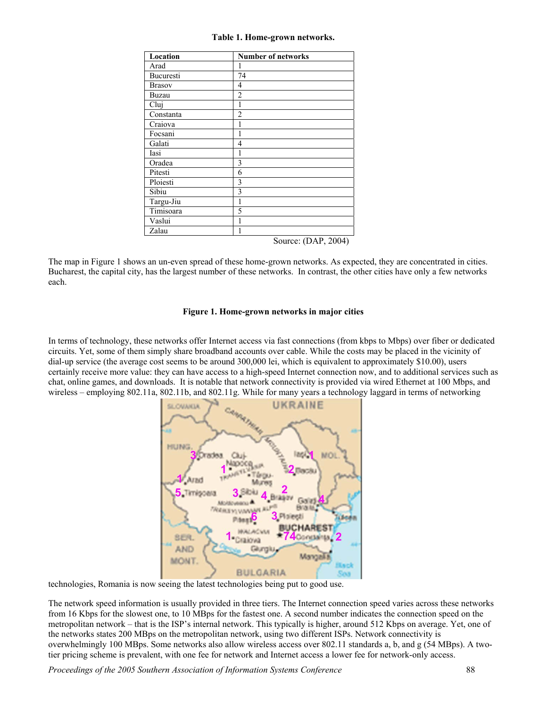#### **Table 1. Home-grown networks.**

| Location      | <b>Number of networks</b> |
|---------------|---------------------------|
| Arad          | 1                         |
| Bucuresti     | 74                        |
| <b>Brasov</b> | 4                         |
| Buzau         | $\overline{2}$            |
| Cluj          | 1                         |
| Constanta     | $\overline{2}$            |
| Craiova       | 1                         |
| Focsani       | 1                         |
| Galati        | 4                         |
| Iasi          | 1                         |
| Oradea        | 3                         |
| Pitesti       | 6                         |
| Ploiesti      | 3                         |
| Sibiu         | 3                         |
| Targu-Jiu     | 1                         |
| Timisoara     | 5                         |
| Vaslui        | 1                         |
| Zalau         | 1                         |
|               | Source: (DAP, 2004)       |

The map in Figure 1 shows an un-even spread of these home-grown networks. As expected, they are concentrated in cities. Bucharest, the capital city, has the largest number of these networks. In contrast, the other cities have only a few networks each.

#### **Figure 1. Home-grown networks in major cities**

In terms of technology, these networks offer Internet access via fast connections (from kbps to Mbps) over fiber or dedicated circuits. Yet, some of them simply share broadband accounts over cable. While the costs may be placed in the vicinity of dial-up service (the average cost seems to be around 300,000 lei, which is equivalent to approximately \$10.00), users certainly receive more value: they can have access to a high-speed Internet connection now, and to additional services such as chat, online games, and downloads. It is notable that network connectivity is provided via wired Ethernet at 100 Mbps, and wireless – employing 802.11a, 802.11b, and 802.11g. While for many years a technology laggard in terms of networking



technologies, Romania is now seeing the latest technologies being put to good use.

The network speed information is usually provided in three tiers. The Internet connection speed varies across these networks from 16 Kbps for the slowest one, to 10 MBps for the fastest one. A second number indicates the connection speed on the metropolitan network – that is the ISP's internal network. This typically is higher, around 512 Kbps on average. Yet, one of the networks states 200 MBps on the metropolitan network, using two different ISPs. Network connectivity is overwhelmingly 100 MBps. Some networks also allow wireless access over 802.11 standards a, b, and g (54 MBps). A twotier pricing scheme is prevalent, with one fee for network and Internet access a lower fee for network-only access.